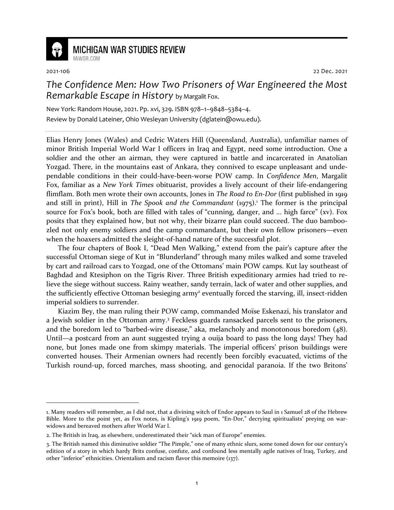

## **MICHIGAN WAR STUDIES REVIEW**

MiWSR COM

2021-106 22 Dec. 2021

## *The Confidence Men: How Two Prisoners of War Engineered the Most Remarkable Escape in History* by Margalit Fox.

New York: Random House, 2021. Pp. xvi, 329. ISBN 978–1–9848–5384–4. Review by Donald Lateiner, Ohio Wesleyan University (dglatein@owu.edu).

Elias Henry Jones (Wales) and Cedric Waters Hill (Queensland, Australia), unfamiliar names of minor British Imperial World War I officers in Iraq and Egypt, need some introduction. One a soldier and the other an airman, they were captured in battle and incarcerated in Anatolian Yozgad. There, in the mountains east of Ankara, they connived to escape unpleasant and undependable conditions in their could-have-been-worse POW camp. In *Confidence Men*, Margalit Fox, familiar as a *New York Times* obituarist, provides a lively account of their life-endangering flimflam. Both men wrote their own accounts, Jones in *The Road to En-Dor* (first published in 1919 and still in print), Hill in *The Spook and the Commandant* (1975).<sup>1</sup> The former is the principal source for Fox's book, both are filled with tales of "cunning, danger, and ... high farce" (xv). Fox posits that they explained how, but not why, their bizarre plan could succeed. The duo bamboozled not only enemy soldiers and the camp commandant, but their own fellow prisoners—even when the hoaxers admitted the sleight-of-hand nature of the successful plot.

The four chapters of Book I, "Dead Men Walking," extend from the pair's capture after the successful Ottoman siege of Kut in "Blunderland" through many miles walked and some traveled by cart and railroad cars to Yozgad, one of the Ottomans' main POW camps. Kut lay southeast of Baghdad and Ktesiphon on the Tigris River. Three British expeditionary armies had tried to relieve the siege without success. Rainy weather, sandy terrain, lack of water and other supplies, and the sufficiently effective Ottoman besieging army<sup>2</sup> eventually forced the starving, ill, insect-ridden imperial soldiers to surrender.

Kiazim Bey, the man ruling their POW camp, commanded Moïse Eskenazi, his translator and a Jewish soldier in the Ottoman army.<sup>3</sup> Feckless guards ransacked parcels sent to the prisoners, and the boredom led to "barbed-wire disease," aka, melancholy and monotonous boredom (48). Until—a postcard from an aunt suggested trying a ouija board to pass the long days! They had none, but Jones made one from skimpy materials. The imperial officers' prison buildings were converted houses. Their Armenian owners had recently been forcibly evacuated, victims of the Turkish round-up, forced marches, mass shooting, and genocidal paranoia. If the two Britons'

<sup>1.</sup> Many readers will remember, as I did not, that a divining witch of Endor appears to Saul in 1 Samuel 28 of the Hebrew Bible. More to the point yet, as Fox notes, is Kipling's 1919 poem, "En-Dor," decrying spiritualists' preying on warwidows and bereaved mothers after World War I.

<sup>2.</sup> The British in Iraq, as elsewhere, underestimated their "sick man of Europe" enemies.

<sup>3.</sup> The British named this diminutive soldier "The Pimple," one of many ethnic slurs, some toned down for our century's edition of a story in which hardy Brits confuse, confute, and confound less mentally agile natives of Iraq, Turkey, and other "inferior" ethnicities. Orientalism and racism flavor this memoire (137).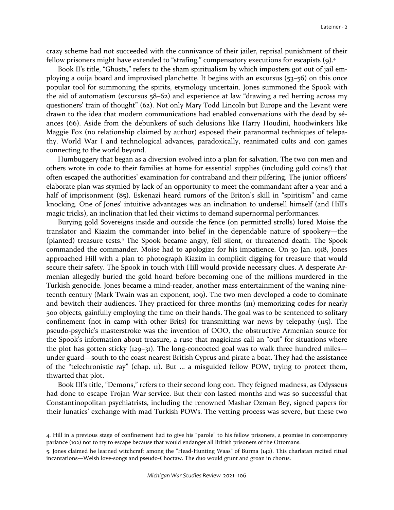crazy scheme had not succeeded with the connivance of their jailer, reprisal punishment of their fellow prisoners might have extended to "strafing," compensatory executions for escapists (9).<sup>4</sup>

Book II's title, "Ghosts," refers to the sham spiritualism by which imposters got out of jail employing a ouija board and improvised planchette. It begins with an excursus (53–56) on this once popular tool for summoning the spirits, etymology uncertain. Jones summoned the Spook with the aid of automatism (excursus 58–62) and experience at law "drawing a red herring across my questioners' train of thought" (62). Not only Mary Todd Lincoln but Europe and the Levant were drawn to the idea that modern communications had enabled conversations with the dead by séances (66). Aside from the debunkers of such delusions like Harry Houdini, hoodwinkers like Maggie Fox (no relationship claimed by author) exposed their paranormal techniques of telepathy. World War I and technological advances, paradoxically, reanimated cults and con games connecting to the world beyond.

Humbuggery that began as a diversion evolved into a plan for salvation. The two con men and others wrote in code to their families at home for essential supplies (including gold coins!) that often escaped the authorities' examination for contraband and their pilfering. The junior officers' elaborate plan was stymied by lack of an opportunity to meet the commandant after a year and a half of imprisonment (85). Eskenazi heard rumors of the Briton's skill in "spiritism" and came knocking. One of Jones' intuitive advantages was an inclination to undersell himself (and Hill's magic tricks), an inclination that led their victims to demand supernormal performances.

Burying gold Sovereigns inside and outside the fence (on permitted strolls) lured Moise the translator and Kiazim the commander into belief in the dependable nature of spookery—the (planted) treasure tests.<sup>5</sup> The Spook became angry, fell silent, or threatened death. The Spook commanded the commander. Moise had to apologize for his impatience. On 30 Jan. 1918, Jones approached Hill with a plan to photograph Kiazim in complicit digging for treasure that would secure their safety. The Spook in touch with Hill would provide necessary clues. A desperate Armenian allegedly buried the gold hoard before becoming one of the millions murdered in the Turkish genocide. Jones became a mind-reader, another mass entertainment of the waning nineteenth century (Mark Twain was an exponent, 109). The two men developed a code to dominate and bewitch their audiences. They practiced for three months (111) memorizing codes for nearly 500 objects, gainfully employing the time on their hands. The goal was to be sentenced to solitary confinement (not in camp with other Brits) for transmitting war news by telepathy  $(115)$ . The pseudo-psychic's masterstroke was the invention of OOO, the obstructive Armenian source for the Spook's information about treasure, a ruse that magicians call an "out" for situations where the plot has gotten sticky (129–31). The long-concocted goal was to walk three hundred miles under guard—south to the coast nearest British Cyprus and pirate a boat. They had the assistance of the "telechronistic ray" (chap. 11). But ... a misguided fellow POW, trying to protect them, thwarted that plot.

Book III's title, "Demons," refers to their second long con. They feigned madness, as Odysseus had done to escape Trojan War service. But their con lasted months and was so successful that Constantinopolitan psychiatrists, including the renowned Mashar Ozman Bey, signed papers for their lunatics' exchange with mad Turkish POWs. The vetting process was severe, but these two

<sup>4.</sup> Hill in a previous stage of confinement had to give his "parole" to his fellow prisoners, a promise in contemporary parlance (102) not to try to escape because that would endanger all British prisoners of the Ottomans.

<sup>5.</sup> Jones claimed he learned witchcraft among the "Head-Hunting Waas" of Burma (142). This charlatan recited ritual incantations—Welsh love-songs and pseudo-Choctaw. The duo would grunt and groan in chorus.